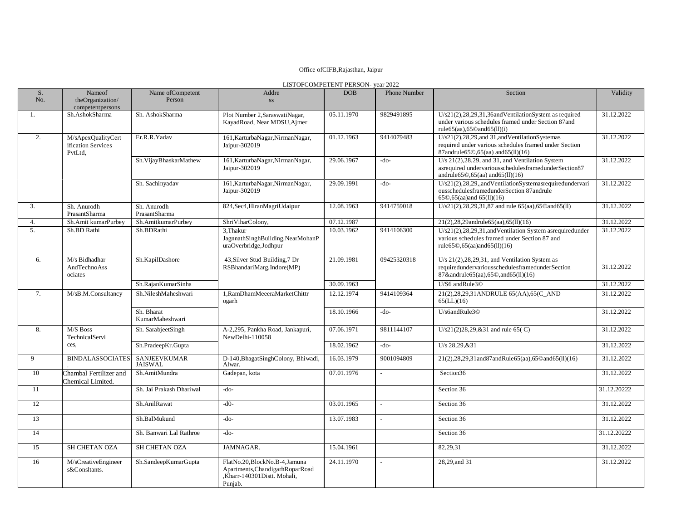## Office ofCIFB,Rajasthan, Jaipur

| LISTOFCOMPETENT PERSON- vear 2022 |  |
|-----------------------------------|--|
|-----------------------------------|--|

| S.<br>No.        | Nameof<br>theOrganization/                          | Name of Competent<br>Person           | Addre<br>$SS$                                                                                               | <b>DOB</b> | Phone Number | Section                                                                                                                                                                                            | Validity    |
|------------------|-----------------------------------------------------|---------------------------------------|-------------------------------------------------------------------------------------------------------------|------------|--------------|----------------------------------------------------------------------------------------------------------------------------------------------------------------------------------------------------|-------------|
| 1.               | competentpersons<br>Sh.AshokSharma                  | Sh. AshokSharma                       | Plot Number 2, Saraswati Nagar,<br>KayadRoad, Near MDSU, Ajmer                                              | 05.11.1970 | 9829491895   | U/s21(2),28,29,31,36andVentilationSystem as required<br>under various schedules framed under Section 87 and<br>rule $65$ (aa), $65$ ©and $65$ (ll)(i)                                              | 31.12.2022  |
| 2.               | M/sApexQualityCert<br>ification Services<br>PvtLtd, | Er.R.R.Yadav                          | 161, KarturbaNagar, NirmanNagar,<br>Jaipur-302019                                                           | 01.12.1963 | 9414079483   | U/s21(2),28,29, and 31, and Ventilation Systemas<br>required under various schedules framed under Section<br>87andrule65©,65(aa) and65(ll)(16)                                                     | 31.12.2022  |
|                  |                                                     | Sh.VijayBhaskarMathew                 | 161, KarturbaNagar, NirmanNagar,<br>Jaipur-302019                                                           | 29.06.1967 | -do-         | U/s $21(2), 28, 29$ , and 31, and Ventilation System<br>asrequired undervariousschedulesframedunderSection87<br>andrule $65\textcircled{}0,65$ (aa) and $65$ (ll)(16)                              | 31.12.2022  |
|                  |                                                     | Sh. Sachinyadav                       | 161, KarturbaNagar, NirmanNagar,<br>Jaipur-302019                                                           | 29.09.1991 | -do-         | U/s21(2),28,29, and VentilationSystemasrequiredundervari<br>ousschedulesframedunderSection 87andrule<br>$65\degree$ , $65$ (aa) and $65$ (ll)(16)                                                  | 31.12.2022  |
| 3.               | Sh. Anurodh<br>PrasantSharma                        | Sh. Anurodh<br>PrasantSharma          | 824, Sec4, HiranMagriUdaipur                                                                                | 12.08.1963 | 9414759018   | $U/s21(2), 28, 29, 31, 87$ and rule 65(aa), 65 $\mathcal{O}$ and 65(11)                                                                                                                            | 31.12.2022  |
| 4.               | Sh.Amit kumarPurbey                                 | Sh.AmitkumarPurbey                    | ShriViharColony,                                                                                            | 07.12.1987 |              | 21(2),28,29andrule65(aa),65(ll)(16)                                                                                                                                                                | 31.12.2022  |
| $\overline{5}$ . | Sh.BD Rathi                                         | Sh.BDRathi                            | 3. Thakur<br>JagnnathSinghBuilding,NearMohanP<br>uraOverbridge,Jodhpur                                      | 10.03.1962 | 9414106300   | U/s21(2),28,29,31,andVentilation System asrequiredunder<br>various schedules framed under Section 87 and<br>rule65 $\mathcal{O},$ 65 $\left($ aa)and65 $\left($ ll $\right)$ $\left($ 16 $\right)$ | 31.12.2022  |
| 6.               | M/s Bidhadhar<br>AndTechnoAss<br>ociates            | Sh.KapilDashore                       | 43, Silver Stud Building, 7 Dr<br>RSBhandariMarg, Indore(MP)                                                | 21.09.1981 | 09425320318  | U/s $21(2)$ , $28$ , $29$ , $31$ , and Ventilation System as<br>requiredundervariousschedulesframedunderSection<br>87&andrule65(aa),65©,and65(ll)(16)                                              | 31.12.2022  |
|                  |                                                     | Sh.RajanKumarSinha                    |                                                                                                             | 30.09.1963 |              | U/S6 andRule3©                                                                                                                                                                                     | 31.12.2022  |
| 7.               | M/sB.M.Consultancy                                  | Sh.NileshMaheshwari                   | 1, RamDhamMeeeraMarketChittr<br>ogarh                                                                       | 12.12.1974 | 9414109364   | 21(2),28,29,31ANDRULE 65(AA),65(C_AND<br>65(LL)(16)                                                                                                                                                | 31.12.2022  |
|                  |                                                     | Sh. Bharat<br>KumarMaheshwari         |                                                                                                             | 18.10.1966 | -do-         | U/s6andRule3©                                                                                                                                                                                      | 31.12.2022  |
| 8.               | M/S Boss<br>TechnicalServi                          | Sh. SarabjeetSingh                    | A-2,295, Pankha Road, Jankapuri,<br>NewDelhi-110058                                                         | 07.06.1971 | 9811144107   | U/s21(2)28,29,&31 and rule 65( $C$ )                                                                                                                                                               | 31.12.2022  |
|                  | ces,                                                | Sh.PradeepKr.Gupta                    |                                                                                                             | 18.02.1962 | -do-         | U/s 28,29,&31                                                                                                                                                                                      | 31.12.2022  |
| 9                | <b>BINDALASSOCIATES</b>                             | <b>SANJEEVKUMAR</b><br><b>JAISWAL</b> | D-140, Bhagat Singh Colony, Bhiwadi,<br>Alwar.                                                              | 16.03.1979 | 9001094809   | 21(2),28,29,31and87andRule65(aa),65©and65(ll)(16)                                                                                                                                                  | 31.12.2022  |
| 10               | Chambal Fertilizer and<br>Chemical Limited.         | Sh.AmitMundra                         | Gadepan, kota                                                                                               | 07.01.1976 |              | Section36                                                                                                                                                                                          | 31.12.2022  |
| 11               |                                                     | Sh. Jai Prakash Dhariwal              | $-do-$                                                                                                      |            |              | Section 36                                                                                                                                                                                         | 31.12.20222 |
| 12               |                                                     | Sh.AnilRawat                          | $-d0-$                                                                                                      | 03.01.1965 |              | Section 36                                                                                                                                                                                         | 31.12.2022  |
| 13               |                                                     | Sh.BalMukund                          | $-do-$                                                                                                      | 13.07.1983 |              | Section 36                                                                                                                                                                                         | 31.12.2022  |
| 14               |                                                     | Sh. Banwari Lal Rathroe               | $-do-$                                                                                                      |            |              | Section 36                                                                                                                                                                                         | 31.12.20222 |
| 15               | SH CHETAN OZA                                       | <b>SH CHETAN OZA</b>                  | JAMNAGAR.                                                                                                   | 15.04.1961 |              | 82,29,31                                                                                                                                                                                           | 31.12.2022  |
| 16               | M/sCreativeEngineer<br>s&Consltants.                | Sh.SandeepKumarGupta                  | FlatNo.20,BlockNo.B-4,Jamuna<br>Apartments, Chandigarh Ropar Road<br>,Kharr-140301Distt. Mohali,<br>Punjab. | 24.11.1970 | $\sim$       | 28,29, and 31                                                                                                                                                                                      | 31.12.2022  |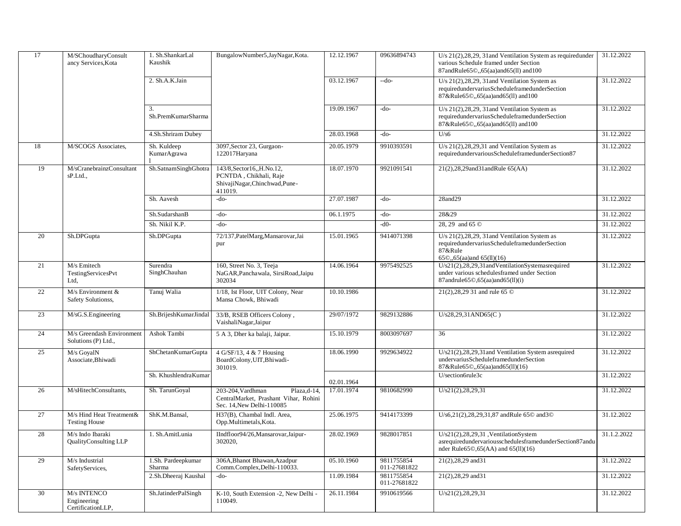| 17 | M/SChoudharyConsult<br>ancy Services, Kota       | 1. Sh.ShankarLal<br>Kaushik  | BungalowNumber5, JayNagar, Kota.                                                                       | 12.12.1967 | 09636894743                | U/s 21(2), 28, 29, 31 and Ventilation System as required under<br>various Schedule framed under Section<br>87andRule65©,,65(aa)and65(ll) and100                       | 31.12.2022  |
|----|--------------------------------------------------|------------------------------|--------------------------------------------------------------------------------------------------------|------------|----------------------------|-----------------------------------------------------------------------------------------------------------------------------------------------------------------------|-------------|
|    |                                                  | 2. Sh.A.K.Jain               |                                                                                                        | 03.12.1967 | --do-                      | U/s $21(2), 28, 29, 31$ and Ventilation System as<br>requiredundervariusScheduleframedunderSection<br>87&Rule65©,,65(aa)and65(ll) and100                              | 31.12.2022  |
|    |                                                  | 3.<br>Sh.PremKumarSharma     |                                                                                                        | 19.09.1967 | -do-                       | U/s $21(2)$ , $28$ , $29$ , $31$ and Ventilation System as<br>requiredundervariusScheduleframedunderSection<br>87&Rule65©,,65(aa)and65(ll) and100                     | 31.12.2022  |
|    |                                                  | 4.Sh.Shriram Dubey           |                                                                                                        | 28.03.1968 | -do-                       | U/s6                                                                                                                                                                  | 31.12.2022  |
| 18 | M/SCOGS Associates,                              | Sh. Kuldeep<br>KumarAgrawa   | 3097, Sector 23, Gurgaon-<br>122017Haryana                                                             | 20.05.1979 | 9910393591                 | U/s $21(2)$ , $28$ , $29$ , $31$ and Ventilation System as<br>requiredundervariousScheduleframedunderSection87                                                        | 31.12.2022  |
| 19 | M/sCranebrainzConsultant<br>sP.Ltd.,             | Sh.SatnamSinghGhotra         | 143/8, Sector16, H.No.12,<br>PCNTDA, Chikhali, Raje<br>ShivajiNagar,Chinchwad,Pune-<br>411019.         | 18.07.1970 | 9921091541                 | 21(2),28,29and31andRule 65(AA)                                                                                                                                        | 31.12.2022  |
|    |                                                  | Sh. Aavesh                   | -do-                                                                                                   | 27.07.1987 | -do-                       | $28$ and $29$                                                                                                                                                         | 31.12.2022  |
|    |                                                  | Sh.SudarshanB                | -do-                                                                                                   | 06.1.1975  | -do-                       | 28&29                                                                                                                                                                 | 31.12.2022  |
|    |                                                  | Sh. Nikil K.P.               | $-do-$                                                                                                 |            | $-d0-$                     | 28, 29 and 65 <sup>O</sup>                                                                                                                                            | 31.12.2022  |
| 20 | Sh.DPGupta                                       | Sh.DPGupta                   | 72/137, Patel Marg, Mansarovar, Jai<br>pur                                                             | 15.01.1965 | 9414071398                 | U/s $21(2),28,29,31$ and Ventilation System as<br>requiredundervariusScheduleframedunderSection<br>87&Rule<br>65©,,65(aa)and 65(ll)(16)                               | 31.12.2022  |
| 21 | M/s Emitech<br>TestingServicesPvt<br>Ltd,        | Surendra<br>SinghChauhan     | 160, Street No. 3, Teeja<br>NaGAR, Panchawala, SirsiRoad, Jaipu<br>302034                              | 14.06.1964 | 9975492525                 | U/s21(2),28,29,31 and Ventilation System as required<br>under various schedulesframed under Section<br>87andrule65©,65(aa)and65(ll)(i)                                | 31.12.2022  |
| 22 | M/s Environment &<br>Safety Solutionss,          | Tanuj Walia                  | 1/18, Ist Floor, UIT Colony, Near<br>Mansa Chowk, Bhiwadi                                              | 10.10.1986 |                            | 21(2), 28, 29 31 and rule 65 ©                                                                                                                                        | 31.12.2022  |
| 23 | M/sG.S.Engineering                               | Sh.BrijeshKumarJindal        | 33/B, RSEB Officers Colony,<br>VaishaliNagar, Jaipur                                                   | 29/07/1972 | 9829132886                 | U/s28,29,31AND65(C)                                                                                                                                                   | 31.12.2022  |
| 24 | M/s Greendash Environment<br>Solutions (P) Ltd., | Ashok Tambi                  | 5 A 3, Dher ka balaji, Jaipur.                                                                         | 15.10.1979 | 8003097697                 | 36                                                                                                                                                                    | 31.12.2022  |
| 25 | M/s GoyalN<br>Associate, Bhiwadi                 | ShChetanKumarGupta           | 4 G/SF/13, 4 & 7 Housing<br>BoardColony, UIT, Bhiwadi-<br>301019.                                      | 18.06.1990 | 9929634922                 | U/s21(2),28,29,31 and Ventilation System asrequired<br>undervariusScheduleframedunderSection<br>87&Rule65©,,65(aa)and65(11)(16)                                       | 31.12.2022  |
|    |                                                  | Sh. KhushlendraKumar         |                                                                                                        | 02.01.1964 |                            | U/section6rule3c                                                                                                                                                      | 31.12.2022  |
| 26 | M/sHitechConsultants,                            | Sh. TarunGoyal               | 203-204, Vardhman<br>Plaza,d-14,<br>CentralMarket, Prashant Vihar, Rohini<br>Sec. 14, New Delhi-110085 | 17.01.1974 | 9810682990                 | U/s21(2), 28, 29, 31                                                                                                                                                  | 31.12.2022  |
| 27 | M/s Hind Heat Treatment&<br><b>Testing House</b> | ShK.M.Bansal,                | H37(B), Chambal Indl. Area,<br>Opp.Multimetals,Kota.                                                   | 25.06.1975 | 9414173399                 | U/s6,21(2),28,29,31,87 andRule 65© and3©                                                                                                                              | 31.12.2022  |
| 28 | M/s Indo Ibaraki<br>QualityConsulting LLP        | 1. Sh.AmitLunia              | IIndfloor94/26, Mansarovar, Jaipur-<br>302020,                                                         | 28.02.1969 | 9828017851                 | $U/s21(2), 28, 29, 31$ , VentilationSystem<br>asrequiredundervariousschedulesframedunderSection87andu<br>nder Rule $65\textcircled{}0,65(AA)$ and $65(\text{ll})(16)$ | 31.1.2.2022 |
| 29 | M/s Industrial<br>SafetyServices,                | 1.Sh. Pardeepkumar<br>Sharma | 306A, Bhanot Bhawan, Azadpur<br>Comm.Complex, Delhi-110033.                                            | 05.10.1960 | 9811755854<br>011-27681822 | 21(2), 28, 29 and 31                                                                                                                                                  | 31.12.2022  |
|    |                                                  | 2.Sh.Dheeraj Kaushal         | -do-                                                                                                   | 11.09.1984 | 9811755854<br>011-27681822 | 21(2), 28, 29 and 31                                                                                                                                                  | 31.12.2022  |
| 30 | M/s INTENCO<br>Engineering<br>CertificationLLP,  | Sh.JatinderPalSingh          | K-10, South Extension -2, New Delhi -<br>110049.                                                       | 26.11.1984 | 9910619566                 | U/s21(2), 28, 29, 31                                                                                                                                                  | 31.12.2022  |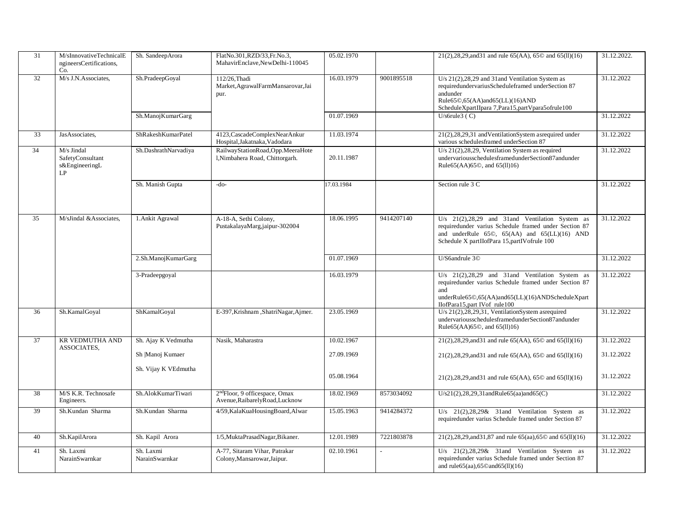| 31              | M/sInnovativeTechnicalE<br>ngineersCertifications,<br>Co. | Sh. SandeepArora            | FlatNo.301, RZD/33, Fr.No.3,<br>MahavirEnclave,NewDelhi-110045                | 05.02.1970 |            | 21(2), 28, 29, and 31 and rule 65(AA), 65 $\odot$ and 65(11)(16)                                                                                                                                                           | 31.12.2022. |
|-----------------|-----------------------------------------------------------|-----------------------------|-------------------------------------------------------------------------------|------------|------------|----------------------------------------------------------------------------------------------------------------------------------------------------------------------------------------------------------------------------|-------------|
| 32              | M/s J.N.Associates,                                       | Sh.PradeepGoyal             | 112/26. Thadi<br>Market, Agrawal FarmMansarovar, Jai<br>pur.                  | 16.03.1979 | 9001895518 | U/s 21(2), 28, 29 and 31 and Ventilation System as<br>requiredundervariusScheduleframed underSection 87<br>andunder<br>Rule65©,65(AA)and65(LL)(16)AND<br>ScheduleXpartIIpara 7, Para15, partVpara5ofrule100                | 31.12.2022  |
|                 |                                                           | Sh.ManojKumarGarg           |                                                                               | 01.07.1969 |            | $U/s$ 6rule3 (C)                                                                                                                                                                                                           | 31.12.2022  |
| 33              | JasAssociates,                                            | ShRakeshKumarPatel          | 4123, Cascade Complex Near Ankur<br>Hospital, Jakatnaka, Vadodara             | 11.03.1974 |            | 21(2),28,29,31 and VentilationSystem asrequired under<br>various schedulesframed underSection 87                                                                                                                           | 31.12.2022  |
| 34              | M/s Jindal<br>SafetyConsultant<br>s&EngineeringL<br>LP    | Sh.DashrathNarvadiya        | RailwayStationRoad,Opp.MeeraHote<br>1, Nimbahera Road, Chittorgarh.           | 20.11.1987 |            | U/s 21(2), 28, 29, Ventilation System as required<br>undervariousschedulesframedunderSection87andunder<br>Rule65(AA)65©, and 65(ll)16)                                                                                     | 31.12.2022  |
|                 |                                                           | Sh. Manish Gupta            | $-do-$                                                                        | 17.03.1984 |            | Section rule 3 C                                                                                                                                                                                                           | 31.12.2022  |
| 35              | M/sJindal &Associates,                                    | 1. Ankit Agrawal            | A-18-A, Sethi Colony,<br>PustakalayaMarg,jaipur-302004                        | 18.06.1995 | 9414207140 | $U/s$ 21(2), 28, 29 and 31 and Ventilation System as<br>requiredunder varius Schedule framed under Section 87<br>and underRule $65\degree$ , $65(AA)$ and $65(LL)(16)$ AND<br>Schedule X partIIofPara 15, partIVofrule 100 | 31.12.2022  |
|                 |                                                           | 2.Sh.ManojKumarGarg         |                                                                               | 01.07.1969 |            | U/S6andrule 3©                                                                                                                                                                                                             | 31.12.2022  |
|                 |                                                           | 3-Pradeepgoyal              |                                                                               | 16.03.1979 |            | $U/s$ 21(2), 28, 29 and 31 and Ventilation System as<br>requiredunder varius Schedule framed under Section 87<br>and<br>underRule65©,65(AA)and65(LL)(16)ANDScheduleXpart<br>IIofPara15, part IVof rule100                  | 31.12.2022  |
| 36              | Sh.KamalGoyal                                             | ShKamalGoyal                | E-397, Krishnam , Shatri Nagar, Ajmer.                                        | 23.05.1969 |            | U/s $21(2),28,29,31$ , VentilationSystem asrequired<br>undervariousschedulesframedunderSection87andunder<br>Rule65(AA)65©, and 65(ll)16)                                                                                   | 31.12.2022  |
| $\overline{37}$ | <b>KR VEDMUTHA AND</b><br>ASSOCIATES,                     | Sh. Ajay K Vedmutha         | Nasik, Maharastra                                                             | 10.02.1967 |            | 21(2), 28, 29, and 31 and rule 65(AA), 65 $\odot$ and 65(11)(16)                                                                                                                                                           | 31.12.2022  |
|                 |                                                           | Sh Manoj Kumaer             |                                                                               | 27.09.1969 |            | $21(2),28,29,$ and 31 and rule 65(AA), 65 $\odot$ and 65(11)(16)                                                                                                                                                           | 31.12.2022  |
|                 |                                                           | Sh. Vijay K VEdmutha        |                                                                               | 05.08.1964 |            | $21(2),28,29,$ and 31 and rule 65(AA), 65 $\odot$ and 65(ll)(16)                                                                                                                                                           | 31.12.2022  |
| 38              | M/S K.R. Technosafe<br>Engineers.                         | Sh.AlokKumarTiwari          | 2 <sup>nd</sup> Floor, 9 officespace, Omax<br>Avenue, Raibarely Road, Lucknow | 18.02.1969 | 8573034092 | $U/s21(2), 28, 29, 31$ and Rule 65(aa) and 65(C)                                                                                                                                                                           | 31.12.2022  |
| 39              | Sh.Kundan Sharma                                          | Sh.Kundan Sharma            | 4/59, KalaKuaHousing Board, Alwar                                             | 15.05.1963 | 9414284372 | U/s $21(2),28,29$ & 31 and Ventilation System as<br>requiredunder varius Schedule framed under Section 87                                                                                                                  | 31.12.2022  |
| 40              | Sh.KapilArora                                             | Sh. Kapil Arora             | 1/5, MuktaPrasadNagar, Bikaner.                                               | 12.01.1989 | 7221803878 | 21(2), 28, 29, and 31, 87 and rule 65(aa), 65 $\odot$ and 65(ll)(16)                                                                                                                                                       | 31.12.2022  |
| 41              | Sh. Laxmi<br>NarainSwarnkar                               | Sh. Laxmi<br>NarainSwarnkar | A-77, Sitaram Vihar, Patrakar<br>Colony, Mansarowar, Jaipur.                  | 02.10.1961 |            | U/s $21(2),28,29$ & 31 and Ventilation System as<br>required under varius Schedule framed under Section 87<br>and rule65(aa), $65$ ©and $65(11)(16)$                                                                       | 31.12.2022  |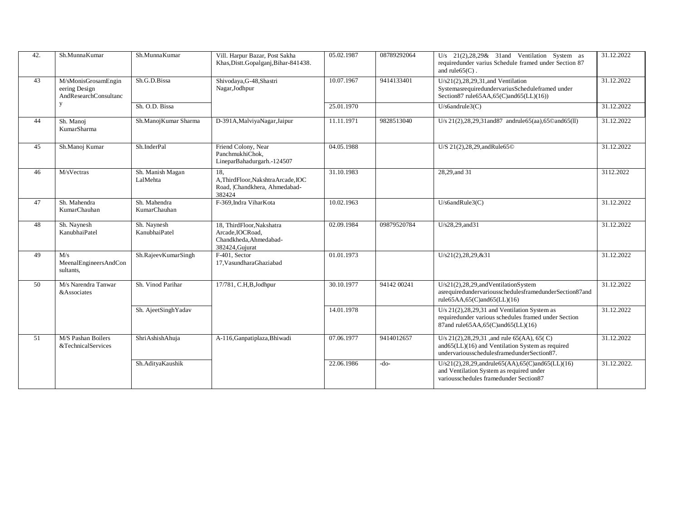| 42. | Sh.MunnaKumar                                                 | Sh.MunnaKumar                | Vill. Harpur Bazar, Post Sakha<br>Khas, Distt. Gopalganj, Bihar-841438.                    | 05.02.1987 | 08789292064 | U/s $21(2),28,29$ & 31 and Ventilation System as<br>requiredunder varius Schedule framed under Section 87<br>and rule $65(C)$ .                           | 31.12.2022  |
|-----|---------------------------------------------------------------|------------------------------|--------------------------------------------------------------------------------------------|------------|-------------|-----------------------------------------------------------------------------------------------------------------------------------------------------------|-------------|
| 43  | M/sMonisGrosamEngin<br>eering Design<br>AndResearchConsultanc | Sh.G.D.Bissa                 | Shivodaya, G-48, Shastri<br>Nagar, Jodhpur                                                 | 10.07.1967 | 9414133401  | $U/s21(2), 28, 29, 31,$ and Ventilation<br>SystemasrequiredundervariusScheduleframed under<br>Section 87 rule 65AA, 65(C) and 65(LL)(16))                 | 31.12.2022  |
|     | y                                                             | Sh. O.D. Bissa               |                                                                                            | 25.01.1970 |             | $U/s6$ andrule $3(C)$                                                                                                                                     | 31.12.2022  |
| 44  | Sh. Manoj<br>KumarSharma                                      | Sh.ManojKumar Sharma         | D-391A, Malviya Nagar, Jaipur                                                              | 11.11.1971 | 9828513040  | U/s $21(2)$ , $28$ , $29$ , $31$ and $87$ and rule $65$ (aa), $65$ C and $65$ (II)                                                                        | 31.12.2022  |
| 45  | Sh.Manoj Kumar                                                | Sh.InderPal                  | Friend Colony, Near<br>PanchmukhiChok,<br>LineparBahadurgarh.-124507                       | 04.05.1988 |             | U/S 21(2), 28, 29, and Rule 650                                                                                                                           | 31.12.2022  |
| 46  | M/sVectras                                                    | Sh. Manish Magan<br>LalMehta | 18.<br>A,ThirdFloor,NakshtraArcade,IOC<br>Road,  Chandkhera, Ahmedabad-<br>382424          | 31.10.1983 |             | 28,29, and 31                                                                                                                                             | 3112.2022   |
| 47  | Sh. Mahendra<br>KumarChauhan                                  | Sh. Mahendra<br>KumarChauhan | F-369, Indra Vihar Kota                                                                    | 10.02.1963 |             | $U/s6$ and $Rule3(C)$                                                                                                                                     | 31.12.2022  |
| 48  | Sh. Naynesh<br>KanubhaiPatel                                  | Sh. Naynesh<br>KanubhaiPatel | 18, ThirdFloor, Nakshatra<br>Arcade, IOCRoad,<br>Chandkheda, Ahmedabad-<br>382424, Gujurat | 02.09.1984 | 09879520784 | U/s28,29, and 31                                                                                                                                          | 31.12.2022  |
| 49  | M/s<br>MeenalEngineersAndCon<br>sultants.                     | Sh.RajeevKumarSingh          | F-401, Sector<br>17, Vasundhara Ghaziabad                                                  | 01.01.1973 |             | U/s21(2),28,29,&31                                                                                                                                        | 31.12.2022  |
| 50  | M/s Narendra Tanwar<br>&Associates                            | Sh. Vinod Parihar            | 17/781, C.H, B, Jodhpur                                                                    | 30.10.1977 | 94142 00241 | $U/s21(2), 28, 29, and Ventilation System$<br>asrequiredundervariousschedulesframedunderSection87and<br>rule $65AA,65(C)$ and $65(LL)(16)$                | 31.12.2022  |
|     |                                                               | Sh. AjeetSinghYadav          |                                                                                            | 14.01.1978 |             | U/s $21(2)$ , $28, 29, 31$ and Ventilation System as<br>requiredunder various schedules framed under Section<br>87and rule65AA,65(C)and65(LL)(16)         | 31.12.2022  |
| 51  | M/S Pashan Boilers<br>&TechnicalServices                      | ShriAshishAhuja              | A-116, Ganpatiplaza, Bhiwadi                                                               | 07.06.1977 | 9414012657  | U/s $21(2), 28, 29, 31$ , and rule 65(AA), 65(C)<br>and $65$ (LL) $(16)$ and Ventilation System as required<br>undervariousschedulesframedunderSection87. | 31.12.2022  |
|     |                                                               | Sh.AdityaKaushik             |                                                                                            | 22.06.1986 | $-do-$      | $U/s21(2), 28, 29, and rule 65(AA), 65(C) and 65(LL)(16)$<br>and Ventilation System as required under<br>variousschedules framedunder Section87           | 31.12.2022. |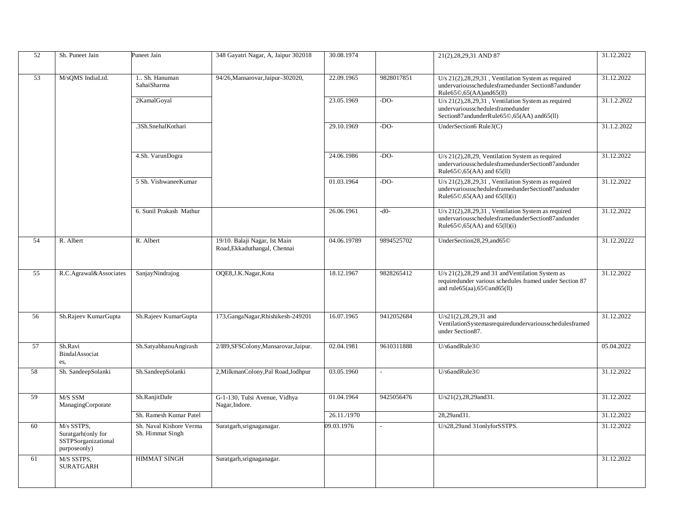| 52 | Sh. Puneet Jain                                                         | Puneet Jain                                 | 348 Gayatri Nagar, A, Jaipur 302018                           | 30.08.1974  |            | 21(2), 28, 29, 31 AND 87                                                                                                                                           | 31.12.2022  |
|----|-------------------------------------------------------------------------|---------------------------------------------|---------------------------------------------------------------|-------------|------------|--------------------------------------------------------------------------------------------------------------------------------------------------------------------|-------------|
|    |                                                                         |                                             |                                                               |             |            |                                                                                                                                                                    |             |
| 53 | M/sQMS IndiaLtd.                                                        | 1 Sh. Hanuman<br><b>SahaiSharma</b>         | 94/26, Mansarovar, Jaipur-302020,                             | 22.09.1965  | 9828017851 | U/s $21(2)$ , $28, 29, 31$ , Ventilation System as required<br>undervariousschedulesframedunder Section87andunder<br>Rule65©,65(AA)and65(ll)                       | 31.12.2022  |
|    |                                                                         | 2KamalGoyal                                 |                                                               | 23.05.1969  | $-DO-$     | U/s 21(2), 28, 29, 31, Ventilation System as required<br>undervariousschedulesframedunder<br>Section87andunderRule65©,65(AA) and65(ll)                             | 31.1.2.2022 |
|    |                                                                         | .3Sh.SnehalKothari                          |                                                               | 29.10.1969  | $-DO-$     | UnderSection6 Rule3(C)                                                                                                                                             | 31.1.2.2022 |
|    |                                                                         | 4.Sh. VarunDogra                            |                                                               | 24.06.1986  | $-DO-$     | U/s $21(2)$ , $28, 29$ , Ventilation System as required<br>undervariousschedulesframedunderSection87andunder<br>Rule65©.65(AA) and 65(ll)                          | 31.12.2022  |
|    |                                                                         | 5 Sh. VishwaneeKumar                        |                                                               | 01.03.1964  | $-DO-$     | U/s 21(2), 28, 29, 31, Ventilation System as required<br>undervariousschedulesframedunderSection87andunder<br>Rule65 $\textcircled{0},$ 65 $(AA)$ and 65 $(11)(i)$ | 31.12.2022  |
|    |                                                                         | 6. Sunil Prakash Mathur                     |                                                               | 26.06.1961  | $-d0-$     | U/s $21(2)$ , $28, 29, 31$ , Ventilation System as required<br>undervariousschedulesframedunderSection87andunder<br>Rule65 $\odot$ ,65(AA) and 65(11)(i)           | 31.12.2022  |
| 54 | R. Albert                                                               | R. Albert                                   | 19/10. Balaji Nagar, Ist Main<br>Road, Ekkaduthangal, Chennai | 04.06.19789 | 9894525702 | UnderSection28,29,and65©                                                                                                                                           | 31.12.20222 |
| 55 | R.C.Agrawal&Associates                                                  | SanjayNindrajog                             | OQE8, J.K. Nagar, Kota                                        | 18.12.1967  | 9828265412 | U/s 21(2), 28, 29 and 31 and Ventilation System as<br>requiredunder various schedules framed under Section 87<br>and rule $65$ (aa), $65$ ©and $65$ (ll)           | 31.12.2022  |
| 56 | Sh.Rajeev KumarGupta                                                    | Sh.Rajeev KumarGupta                        | 173, GangaNagar, Rhishikesh-249201                            | 16.07.1965  | 9412052684 | $U/s21(2), 28, 29, 31$ and<br>VentilationSystemasrequiredundervariousschedulesframed<br>under Section87.                                                           | 31.12.2022  |
| 57 | Sh.Ravi<br>BindalAssociat<br>es,                                        | Sh.SatyabhanuAngirash                       | 2/I89,SFSColony,Mansarovar,Jaipur.                            | 02.04.1981  | 9610311888 | U/s6andRule3©                                                                                                                                                      | 05.04.2022  |
| 58 | Sh. SandeepSolanki                                                      | Sh.SandeepSolanki                           | 2, MilkmanColony, Pal Road, Jodhpur                           | 03.05.1960  |            | U/s6andRule3©                                                                                                                                                      | 31.12.2022  |
| 59 | M/S SSM<br>ManagingCorporate                                            | Sh.RanjitDafe                               | G-1-130, Tulsi Avenue, Vidhya<br>Nagar, Indore.               | 01.04.1964  | 9425056476 | U/s21(2),28,29and31.                                                                                                                                               | 31.12.2022  |
|    |                                                                         | Sh. Ramesh Kumar Patel                      |                                                               | 26.11./1970 |            | 28,29and31.                                                                                                                                                        | 31.12.2022  |
| 60 | M/s SSTPS,<br>Suratgarh(only for<br>SSTPSorganizational<br>purposeonly) | Sh. Naval Kishore Verma<br>Sh. Himmat Singh | Suratgarh, srignaganagar.                                     | 09.03.1976  |            | U/s28,29and 31onlyforSSTPS.                                                                                                                                        | 31.12.2022  |
| 61 | M/S SSTPS,<br>SURATGARH                                                 | <b>HIMMAT SINGH</b>                         | Suratgarh, srignaganagar.                                     |             |            |                                                                                                                                                                    | 31.12.2022  |